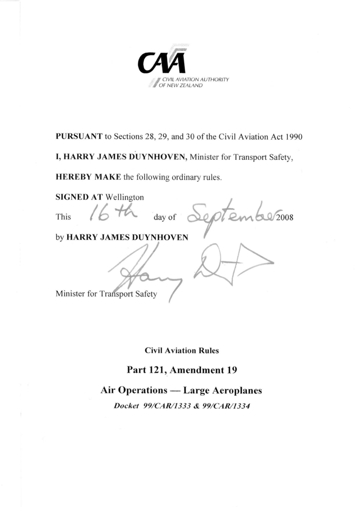

**PURSUANT** to Sections 28, 29, and 30 of the Civil Aviation Act 1990

**I, HARRY JAMES DUYNHOVEN,** Minister for Transport Safety,

**HEREBY MAKE** the following ordinary rules.

**SIGNED AT** Wellington This  $16th$  day of September 2008 by **HARRY JAMES DUYNHOVEN** Minister for Transport Safety

**Civil Aviation Rules** 

**Part 121, Amendment 19**

**Air Operations — Large Aeroplanes** 

*Docket 99/CAR/1333 & 99/CAR/1334*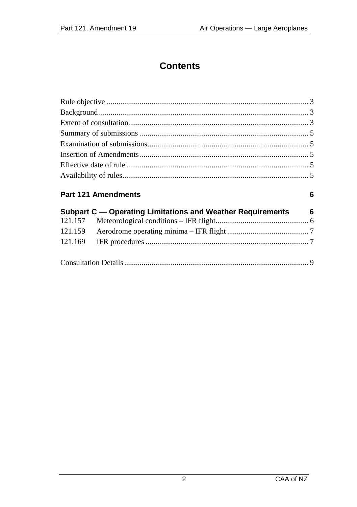# **Contents**

#### Part 121 Amendments

 $\bf 6$ 

| Subpart C — Operating Limitations and Weather Requirements 6 |  |
|--------------------------------------------------------------|--|
|                                                              |  |
|                                                              |  |
|                                                              |  |
|                                                              |  |
|                                                              |  |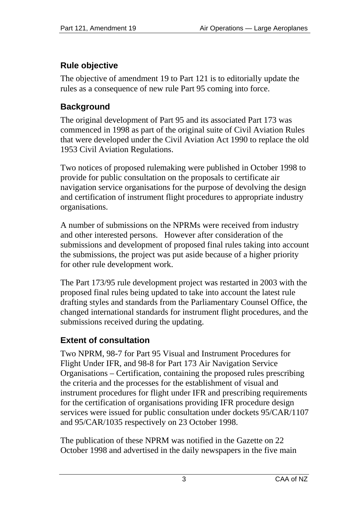# <span id="page-2-0"></span>**Rule objective**

The objective of amendment 19 to Part 121 is to editorially update the rules as a consequence of new rule Part 95 coming into force.

### **Background**

The original development of Part 95 and its associated Part 173 was commenced in 1998 as part of the original suite of Civil Aviation Rules that were developed under the Civil Aviation Act 1990 to replace the old 1953 Civil Aviation Regulations.

Two notices of proposed rulemaking were published in October 1998 to provide for public consultation on the proposals to certificate air navigation service organisations for the purpose of devolving the design and certification of instrument flight procedures to appropriate industry organisations.

A number of submissions on the NPRMs were received from industry and other interested persons. However after consideration of the submissions and development of proposed final rules taking into account the submissions, the project was put aside because of a higher priority for other rule development work.

The Part 173/95 rule development project was restarted in 2003 with the proposed final rules being updated to take into account the latest rule drafting styles and standards from the Parliamentary Counsel Office, the changed international standards for instrument flight procedures, and the submissions received during the updating.

# **Extent of consultation**

Two NPRM, 98-7 for Part 95 Visual and Instrument Procedures for Flight Under IFR, and 98-8 for Part 173 Air Navigation Service Organisations – Certification, containing the proposed rules prescribing the criteria and the processes for the establishment of visual and instrument procedures for flight under IFR and prescribing requirements for the certification of organisations providing IFR procedure design services were issued for public consultation under dockets 95/CAR/1107 and 95/CAR/1035 respectively on 23 October 1998.

The publication of these NPRM was notified in the Gazette on 22 October 1998 and advertised in the daily newspapers in the five main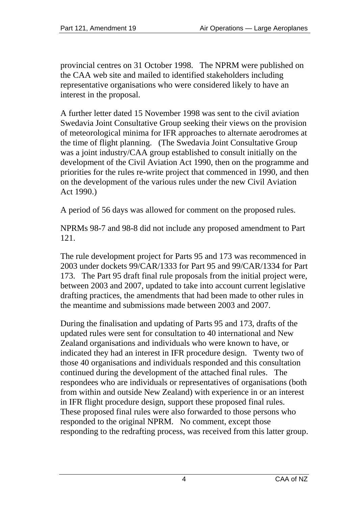provincial centres on 31 October 1998. The NPRM were published on the CAA web site and mailed to identified stakeholders including representative organisations who were considered likely to have an interest in the proposal.

A further letter dated 15 November 1998 was sent to the civil aviation Swedavia Joint Consultative Group seeking their views on the provision of meteorological minima for IFR approaches to alternate aerodromes at the time of flight planning. (The Swedavia Joint Consultative Group was a joint industry/CAA group established to consult initially on the development of the Civil Aviation Act 1990, then on the programme and priorities for the rules re-write project that commenced in 1990, and then on the development of the various rules under the new Civil Aviation Act 1990.)

A period of 56 days was allowed for comment on the proposed rules.

NPRMs 98-7 and 98-8 did not include any proposed amendment to Part 121.

The rule development project for Parts 95 and 173 was recommenced in 2003 under dockets 99/CAR/1333 for Part 95 and 99/CAR/1334 for Part 173. The Part 95 draft final rule proposals from the initial project were, between 2003 and 2007, updated to take into account current legislative drafting practices, the amendments that had been made to other rules in the meantime and submissions made between 2003 and 2007.

During the finalisation and updating of Parts 95 and 173, drafts of the updated rules were sent for consultation to 40 international and New Zealand organisations and individuals who were known to have, or indicated they had an interest in IFR procedure design. Twenty two of those 40 organisations and individuals responded and this consultation continued during the development of the attached final rules. The respondees who are individuals or representatives of organisations (both from within and outside New Zealand) with experience in or an interest in IFR flight procedure design, support these proposed final rules. These proposed final rules were also forwarded to those persons who responded to the original NPRM. No comment, except those responding to the redrafting process, was received from this latter group.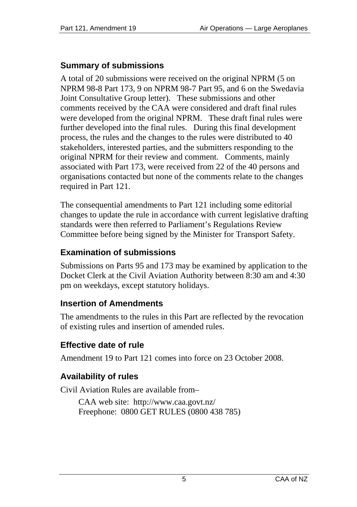### <span id="page-4-0"></span>**Summary of submissions**

A total of 20 submissions were received on the original NPRM (5 on NPRM 98-8 Part 173, 9 on NPRM 98-7 Part 95, and 6 on the Swedavia Joint Consultative Group letter). These submissions and other comments received by the CAA were considered and draft final rules were developed from the original NPRM. These draft final rules were further developed into the final rules. During this final development process, the rules and the changes to the rules were distributed to 40 stakeholders, interested parties, and the submitters responding to the original NPRM for their review and comment. Comments, mainly associated with Part 173, were received from 22 of the 40 persons and organisations contacted but none of the comments relate to the changes required in Part 121.

The consequential amendments to Part 121 including some editorial changes to update the rule in accordance with current legislative drafting standards were then referred to Parliament's Regulations Review Committee before being signed by the Minister for Transport Safety.

#### **Examination of submissions**

Submissions on Parts 95 and 173 may be examined by application to the Docket Clerk at the Civil Aviation Authority between 8:30 am and 4:30 pm on weekdays, except statutory holidays.

### **Insertion of Amendments**

The amendments to the rules in this Part are reflected by the revocation of existing rules and insertion of amended rules.

### **Effective date of rule**

Amendment 19 to Part 121 comes into force on 23 October 2008.

# **Availability of rules**

Civil Aviation Rules are available from–

CAA web site: <http://www.caa.govt.nz/> Freephone: 0800 GET RULES (0800 438 785)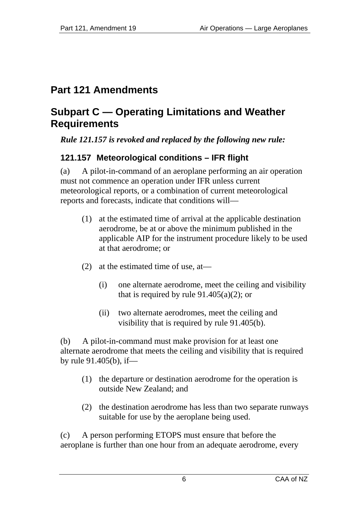# <span id="page-5-0"></span>**Part 121 Amendments**

# **Subpart C — Operating Limitations and Weather Requirements**

*Rule 121.157 is revoked and replaced by the following new rule:*

# **121.157 Meteorological conditions – IFR flight**

(a) A pilot-in-command of an aeroplane performing an air operation must not commence an operation under IFR unless current meteorological reports, or a combination of current meteorological reports and forecasts, indicate that conditions will—

- (1) at the estimated time of arrival at the applicable destination aerodrome, be at or above the minimum published in the applicable AIP for the instrument procedure likely to be used at that aerodrome; or
- (2) at the estimated time of use, at—
	- (i) one alternate aerodrome, meet the ceiling and visibility that is required by rule  $91.405(a)(2)$ ; or
	- (ii) two alternate aerodromes, meet the ceiling and visibility that is required by rule 91.405(b).

(b) A pilot-in-command must make provision for at least one alternate aerodrome that meets the ceiling and visibility that is required by rule 91.405(b), if—

- (1) the departure or destination aerodrome for the operation is outside New Zealand; and
- (2) the destination aerodrome has less than two separate runways suitable for use by the aeroplane being used.

(c) A person performing ETOPS must ensure that before the aeroplane is further than one hour from an adequate aerodrome, every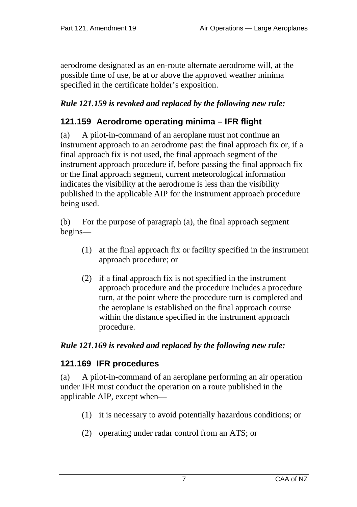<span id="page-6-0"></span>aerodrome designated as an en-route alternate aerodrome will, at the possible time of use, be at or above the approved weather minima specified in the certificate holder's exposition.

### *Rule 121.159 is revoked and replaced by the following new rule:*

### **121.159 Aerodrome operating minima – IFR flight**

(a) A pilot-in-command of an aeroplane must not continue an instrument approach to an aerodrome past the final approach fix or, if a final approach fix is not used, the final approach segment of the instrument approach procedure if, before passing the final approach fix or the final approach segment, current meteorological information indicates the visibility at the aerodrome is less than the visibility published in the applicable AIP for the instrument approach procedure being used.

(b) For the purpose of paragraph (a), the final approach segment begins—

- (1) at the final approach fix or facility specified in the instrument approach procedure; or
- (2) if a final approach fix is not specified in the instrument approach procedure and the procedure includes a procedure turn, at the point where the procedure turn is completed and the aeroplane is established on the final approach course within the distance specified in the instrument approach procedure.

#### *Rule 121.169 is revoked and replaced by the following new rule:*

#### **121.169 IFR procedures**

(a) A pilot-in-command of an aeroplane performing an air operation under IFR must conduct the operation on a route published in the applicable AIP, except when—

- (1) it is necessary to avoid potentially hazardous conditions; or
- (2) operating under radar control from an ATS; or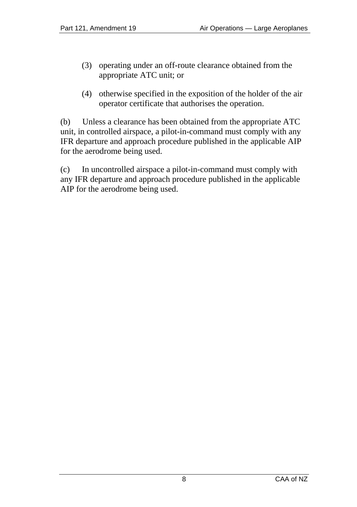- (3) operating under an off-route clearance obtained from the appropriate ATC unit; or
- (4) otherwise specified in the exposition of the holder of the air operator certificate that authorises the operation.

(b) Unless a clearance has been obtained from the appropriate ATC unit, in controlled airspace, a pilot-in-command must comply with any IFR departure and approach procedure published in the applicable AIP for the aerodrome being used.

(c) In uncontrolled airspace a pilot-in-command must comply with any IFR departure and approach procedure published in the applicable AIP for the aerodrome being used.